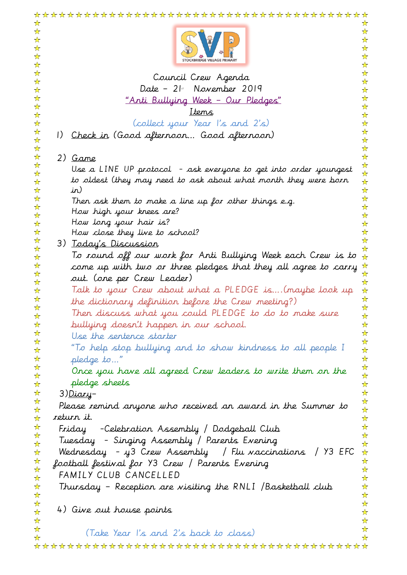| ☆<br>☆<br>☆<br>☆<br>☆                                                     | ☆<br>☆<br>☆<br>☆<br>☆<br>☆ |
|---------------------------------------------------------------------------|----------------------------|
|                                                                           | ☆                          |
| Council Crew Agenda<br>☆<br>Date - 21 <sup>st</sup> November 2019         | ☆                          |
| ☆<br>☆<br><u> "Anti Bullying Week - Our Pledges"</u>                      | ☆<br>☆                     |
| ☆<br>Items                                                                | ☆                          |
| ☆<br>(collect your Year I's and 2's)<br>☆                                 | ☆<br>☆                     |
| ☆<br>$\left  \right)$                                                     | ☆                          |
| Check in (Good afternoon Good afternoon)<br>☆                             | ☆                          |
| ☆<br>☆<br>2) Game                                                         | ☆<br>☆                     |
| ☆<br>Use a LINE UP protocol - ask everyone to get into order youngest     | ☆                          |
| ☆<br>to oldest (they may need to ask about what month they were born<br>☆ | ☆<br>$\frac{1}{\sqrt{2}}$  |
| ☆<br>in)                                                                  | ☆                          |
| ☆<br>Then ask them to make a line up for other things e.g.                | ☆                          |
| ☆<br>How high your knees are?<br>☆                                        | ☆<br>☆                     |
| How long your hair is?<br>☆                                               | ☆                          |
| ☆<br>How close they live to school?                                       | ☆                          |
| ☆<br>3) <u>Today's Discussion</u><br>☆                                    | ☆<br>☆                     |
| To round off our work for Anti Bullying Week each Crew is to<br>☆         | $\frac{1}{\sqrt{2}}$       |
| ☆<br>come up with two or three pledges that they all agree to carry<br>☆  | 55 55                      |
| out. (one per Crew Leader)<br>☆                                           | $\frac{1}{\sqrt{2}}$       |
| Talk to your Crew about what a PLEDGE is(maybe look up<br>☆               | ☆                          |
| ☆<br>the dictionary definition before the Crew meeting?)<br>☆             | ☆<br>☆                     |
| Then discuss what you could PLEDGE to do to make sure<br>☆                | ☆                          |
| bullying doesn't happen in our school.<br>☆                               | ☆                          |
| ☆<br>Use the sentence starter<br>☆                                        | ☆<br>☆                     |
| "To help stop bullying and to show kindness to all people I<br>☆          | ☆                          |
| ☆<br>pledge to"                                                           | ☆                          |
| ☆<br>Once you have all agreed Crew leaders to write them on the<br>☆      | ☆<br>☆                     |
| pledge sheets<br>☆                                                        | ☆                          |
| ☆<br>3) <u>Diary</u> –                                                    | ☆                          |
| ☆<br>Please remind anyone who received an award in the Summer to<br>☆     | ☆<br>☆                     |
| return it.<br>☆                                                           | ☆                          |
| ☆<br>Friday     -Celebration Assembly / Dodgeball Club                    | ☆<br>☆                     |
| ☆<br>Tuesday - Singing Assembly / Parents Evening<br>☆                    | ☆                          |
| Wednesday - y 3 Crew Assembly / Flu vaccinations / Y 3 EFC<br>☆           | ☆                          |
| ☆<br>football festival for Y3 Crew / Parents Evening<br>☆                 | ☆<br>☆                     |
| FAMILY CLUB CANCELLED<br>☆                                                | ☆                          |
| Thursday - Reception are visiting the RNLI /Basketball club<br>☆          | ☆                          |
| ☆<br>☆                                                                    | ☆<br>☆                     |
| 4) Give out house points<br>☆                                             | ☆                          |
| ☆                                                                         | ☆                          |
| ☆<br>(Take Year I's and 2's back to class)<br>☆                           | ☆<br>☆                     |
|                                                                           |                            |